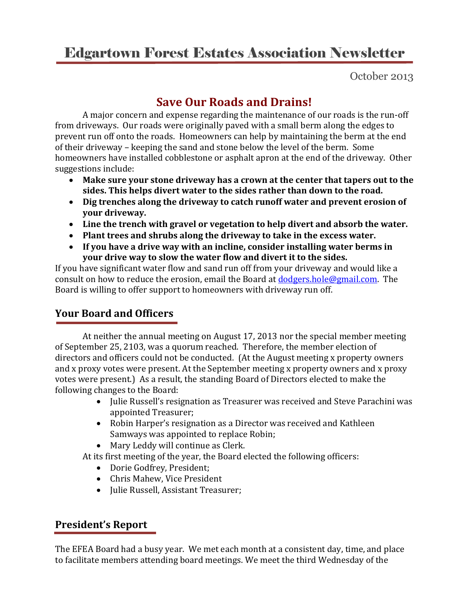# Edgartown Forest Estates Association Newsletter

October 2013

## **Save Our Roads and Drains!**

A major concern and expense regarding the maintenance of our roads is the run-off from driveways. Our roads were originally paved with a small berm along the edges to prevent run off onto the roads. Homeowners can help by maintaining the berm at the end of their driveway – keeping the sand and stone below the level of the berm. Some homeowners have installed cobblestone or asphalt apron at the end of the driveway. Other suggestions include:

- **Make sure your stone driveway has a crown at the center that tapers out to the sides. This helps divert water to the sides rather than down to the road.**
- **Dig trenches along the driveway to catch runoff water and prevent erosion of your driveway.**
- **Line the trench with gravel or vegetation to help divert and absorb the water.**
- **Plant trees and shrubs along the driveway to take in the excess water.**
- **If you have a drive way with an incline, consider installing water berms in your drive way to slow the water flow and divert it to the sides.**

If you have significant water flow and sand run off from your driveway and would like a consult on how to reduce the erosion, email the Board at [dodgers.hole@gmail.com.](mailto:dodgers.hole@gmail.com) The Board is willing to offer support to homeowners with driveway run off.

## **Your Board and Officers**

At neither the annual meeting on August 17, 2013 nor the special member meeting of September 25, 2103, was a quorum reached. Therefore, the member election of directors and officers could not be conducted. (At the August meeting x property owners and x proxy votes were present. At the September meeting x property owners and x proxy votes were present.) As a result, the standing Board of Directors elected to make the following changes to the Board:

- Julie Russell's resignation as Treasurer was received and Steve Parachini was appointed Treasurer;
- Robin Harper's resignation as a Director was received and Kathleen Samways was appointed to replace Robin;
- Mary Leddy will continue as Clerk.

At its first meeting of the year, the Board elected the following officers:

- Dorie Godfrey, President;
- Chris Mahew, Vice President
- Julie Russell, Assistant Treasurer;

### **President's Report**

The EFEA Board had a busy year. We met each month at a consistent day, time, and place to facilitate members attending board meetings. We meet the third Wednesday of the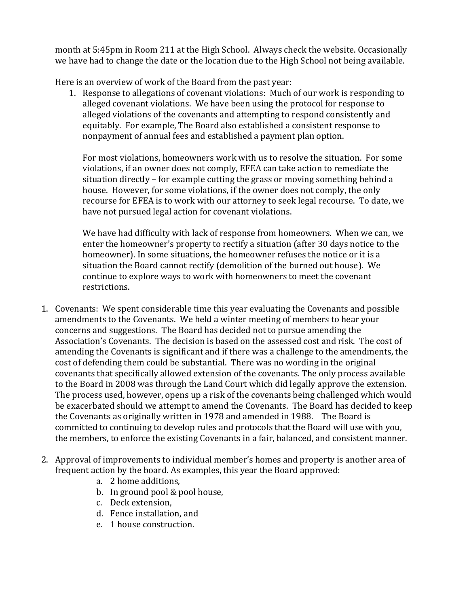month at 5:45pm in Room 211 at the High School. Always check the website. Occasionally we have had to change the date or the location due to the High School not being available.

Here is an overview of work of the Board from the past year:

1. Response to allegations of covenant violations: Much of our work is responding to alleged covenant violations. We have been using the protocol for response to alleged violations of the covenants and attempting to respond consistently and equitably. For example, The Board also established a consistent response to nonpayment of annual fees and established a payment plan option.

For most violations, homeowners work with us to resolve the situation. For some violations, if an owner does not comply, EFEA can take action to remediate the situation directly – for example cutting the grass or moving something behind a house. However, for some violations, if the owner does not comply, the only recourse for EFEA is to work with our attorney to seek legal recourse. To date, we have not pursued legal action for covenant violations.

We have had difficulty with lack of response from homeowners. When we can, we enter the homeowner's property to rectify a situation (after 30 days notice to the homeowner). In some situations, the homeowner refuses the notice or it is a situation the Board cannot rectify (demolition of the burned out house). We continue to explore ways to work with homeowners to meet the covenant restrictions.

- 1. Covenants: We spent considerable time this year evaluating the Covenants and possible amendments to the Covenants. We held a winter meeting of members to hear your concerns and suggestions. The Board has decided not to pursue amending the Association's Covenants. The decision is based on the assessed cost and risk. The cost of amending the Covenants is significant and if there was a challenge to the amendments, the cost of defending them could be substantial. There was no wording in the original covenants that specifically allowed extension of the covenants. The only process available to the Board in 2008 was through the Land Court which did legally approve the extension. The process used, however, opens up a risk of the covenants being challenged which would be exacerbated should we attempt to amend the Covenants. The Board has decided to keep the Covenants as originally written in 1978 and amended in 1988. The Board is committed to continuing to develop rules and protocols that the Board will use with you, the members, to enforce the existing Covenants in a fair, balanced, and consistent manner.
- 2. Approval of improvements to individual member's homes and property is another area of frequent action by the board. As examples, this year the Board approved:
	- a. 2 home additions,
	- b. In ground pool & pool house,
	- c. Deck extension,
	- d. Fence installation, and
	- e. 1 house construction.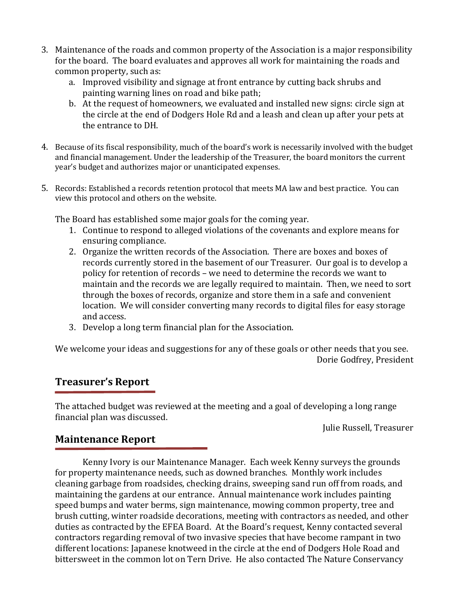- 3. Maintenance of the roads and common property of the Association is a major responsibility for the board. The board evaluates and approves all work for maintaining the roads and common property, such as:
	- a. Improved visibility and signage at front entrance by cutting back shrubs and painting warning lines on road and bike path;
	- b. At the request of homeowners, we evaluated and installed new signs: circle sign at the circle at the end of Dodgers Hole Rd and a leash and clean up after your pets at the entrance to DH.
- 4. Because of its fiscal responsibility, much of the board's work is necessarily involved with the budget and financial management. Under the leadership of the Treasurer, the board monitors the current year's budget and authorizes major or unanticipated expenses.
- 5. Records: Established a records retention protocol that meets MA law and best practice. You can view this protocol and others on the website.

The Board has established some major goals for the coming year.

- 1. Continue to respond to alleged violations of the covenants and explore means for ensuring compliance.
- 2. Organize the written records of the Association. There are boxes and boxes of records currently stored in the basement of our Treasurer. Our goal is to develop a policy for retention of records – we need to determine the records we want to maintain and the records we are legally required to maintain. Then, we need to sort through the boxes of records, organize and store them in a safe and convenient location. We will consider converting many records to digital files for easy storage and access.
- 3. Develop a long term financial plan for the Association.

We welcome your ideas and suggestions for any of these goals or other needs that you see. Dorie Godfrey, President

#### **Treasurer's Report**

The attached budget was reviewed at the meeting and a goal of developing a long range financial plan was discussed.

Julie Russell, Treasurer

#### **Maintenance Report**

Kenny Ivory is our Maintenance Manager. Each week Kenny surveys the grounds for property maintenance needs, such as downed branches. Monthly work includes cleaning garbage from roadsides, checking drains, sweeping sand run off from roads, and maintaining the gardens at our entrance. Annual maintenance work includes painting speed bumps and water berms, sign maintenance, mowing common property, tree and brush cutting, winter roadside decorations, meeting with contractors as needed, and other duties as contracted by the EFEA Board. At the Board's request, Kenny contacted several contractors regarding removal of two invasive species that have become rampant in two different locations: Japanese knotweed in the circle at the end of Dodgers Hole Road and bittersweet in the common lot on Tern Drive. He also contacted The Nature Conservancy